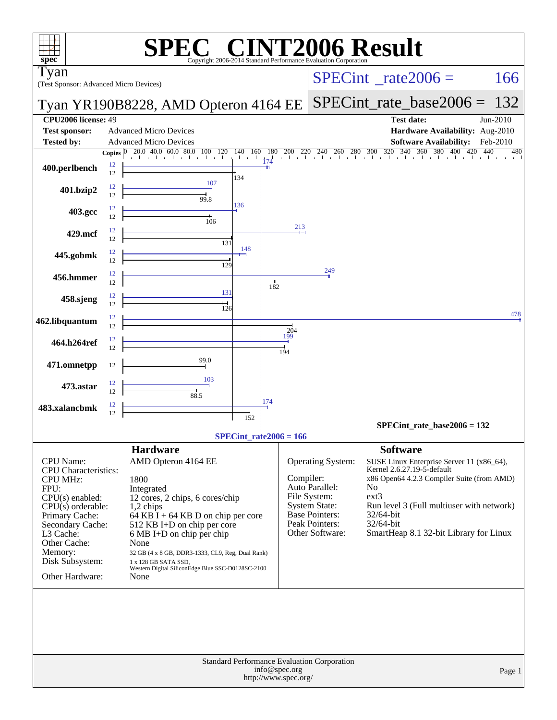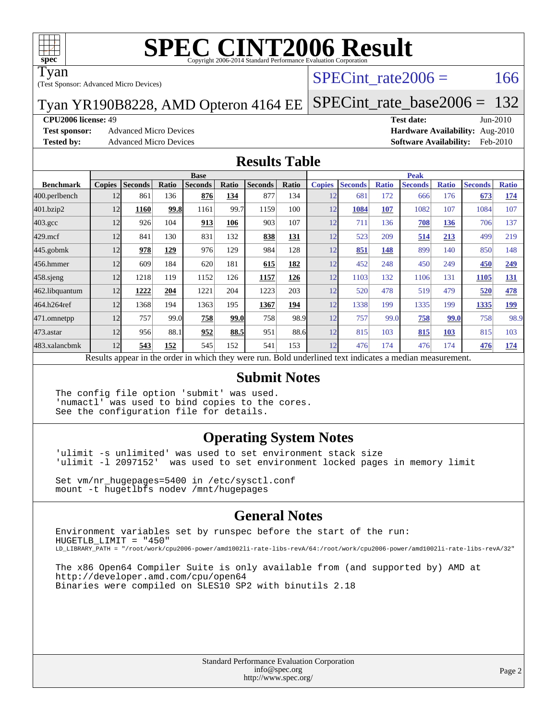

# **[SPEC CINT2006 Result](http://www.spec.org/auto/cpu2006/Docs/result-fields.html#SPECCINT2006Result)**

Tyan

(Test Sponsor: Advanced Micro Devices)

#### SPECint rate $2006 = 166$

Tyan YR190B8228, AMD Opteron 4164 EE [SPECint\\_rate\\_base2006 =](http://www.spec.org/auto/cpu2006/Docs/result-fields.html#SPECintratebase2006) 132

**[CPU2006 license:](http://www.spec.org/auto/cpu2006/Docs/result-fields.html#CPU2006license)** 49 **[Test date:](http://www.spec.org/auto/cpu2006/Docs/result-fields.html#Testdate)** Jun-2010

**[Test sponsor:](http://www.spec.org/auto/cpu2006/Docs/result-fields.html#Testsponsor)** Advanced Micro Devices **Advanced Micro Devices [Hardware Availability:](http://www.spec.org/auto/cpu2006/Docs/result-fields.html#HardwareAvailability)** Aug-2010

**[Tested by:](http://www.spec.org/auto/cpu2006/Docs/result-fields.html#Testedby)** Advanced Micro Devices **[Software Availability:](http://www.spec.org/auto/cpu2006/Docs/result-fields.html#SoftwareAvailability)** Feb-2010

#### **[Results Table](http://www.spec.org/auto/cpu2006/Docs/result-fields.html#ResultsTable)**

|                    | <b>Base</b>                                                                                              |                |       |                |       |                |            |               | <b>Peak</b>    |              |                |              |                |              |  |
|--------------------|----------------------------------------------------------------------------------------------------------|----------------|-------|----------------|-------|----------------|------------|---------------|----------------|--------------|----------------|--------------|----------------|--------------|--|
| <b>Benchmark</b>   | <b>Copies</b>                                                                                            | <b>Seconds</b> | Ratio | <b>Seconds</b> | Ratio | <b>Seconds</b> | Ratio      | <b>Copies</b> | <b>Seconds</b> | <b>Ratio</b> | <b>Seconds</b> | <b>Ratio</b> | <b>Seconds</b> | <b>Ratio</b> |  |
| 400.perlbench      | 12                                                                                                       | 861            | 136   | 876            | 134   | 877            | 134        | 12            | 681            | 172          | 666            | 176          | 673            | 174          |  |
| 401.bzip2          | 12                                                                                                       | 1160           | 99.8  | 1161           | 99.7  | 1159           | 100        | 12            | 1084           | 107          | 1082           | 107          | 1084           | 107          |  |
| $403.\mathrm{gcc}$ | 12                                                                                                       | 926            | 104   | 913            | 106   | 903            | 107        | 12            | 711            | 136          | 708            | 136          | 706            | 137          |  |
| $429$ .mcf         | 12                                                                                                       | 841            | 130   | 831            | 132   | 838            | <u>131</u> | 12            | 523            | 209          | 514            | 213          | 499            | 219          |  |
| $445$ .gobmk       | 12                                                                                                       | 978            | 129   | 976            | 129   | 984            | 128        | 12            | 851            | 148          | 899            | 140          | 850            | 148          |  |
| 456.hmmer          | 12                                                                                                       | 609            | 184   | 620            | 181   | 615            | 182        | 12            | 452            | 248          | 450            | 249          | 450            | 249          |  |
| $458$ .sjeng       | 12                                                                                                       | 1218           | 119   | 1152           | 126   | 1157           | 126        | 12            | 1103           | 132          | 1106           | 131          | 1105           | 131          |  |
| 462.libquantum     | 12                                                                                                       | 1222           | 204   | 1221           | 204   | 1223           | 203        | 12            | 520            | 478          | 519            | 479          | 520            | 478          |  |
| 464.h264ref        | 12                                                                                                       | 1368           | 194   | 1363           | 195   | 1367           | 194        | 12            | 1338           | 199          | 1335           | 199          | 1335           | <u>199</u>   |  |
| 471.omnetpp        | 12                                                                                                       | 757            | 99.0  | 758            | 99.0  | 758            | 98.9       | 12            | 757            | 99.0         | 758            | 99.0         | 758            | 98.9         |  |
| $473.$ astar       | 12                                                                                                       | 956            | 88.1  | 952            | 88.5  | 951            | 88.6       | 12            | 815            | 103          | 815            | 103          | 815            | 103          |  |
| 483.xalancbmk      | 12                                                                                                       | 543            | 152   | 545            | 152   | 541            | 153        | 12            | 476            | 174          | 476            | 174          | 476            | 174          |  |
|                    | Results appear in the order in which they were run. Bold underlined text indicates a median measurement. |                |       |                |       |                |            |               |                |              |                |              |                |              |  |

#### **[Submit Notes](http://www.spec.org/auto/cpu2006/Docs/result-fields.html#SubmitNotes)**

The config file option 'submit' was used. 'numactl' was used to bind copies to the cores. See the configuration file for details.

#### **[Operating System Notes](http://www.spec.org/auto/cpu2006/Docs/result-fields.html#OperatingSystemNotes)**

'ulimit -s unlimited' was used to set environment stack size 'ulimit -l 2097152' was used to set environment locked pages in memory limit

Set vm/nr\_hugepages=5400 in /etc/sysctl.conf mount -t hugetlbfs nodev /mnt/hugepages

#### **[General Notes](http://www.spec.org/auto/cpu2006/Docs/result-fields.html#GeneralNotes)**

Environment variables set by runspec before the start of the run: HUGETLB\_LIMIT = "450" LD\_LIBRARY\_PATH = "/root/work/cpu2006-power/amd1002li-rate-libs-revA/64:/root/work/cpu2006-power/amd1002li-rate-libs-revA/32"

The x86 Open64 Compiler Suite is only available from (and supported by) AMD at <http://developer.amd.com/cpu/open64> Binaries were compiled on SLES10 SP2 with binutils 2.18

> Standard Performance Evaluation Corporation [info@spec.org](mailto:info@spec.org) <http://www.spec.org/>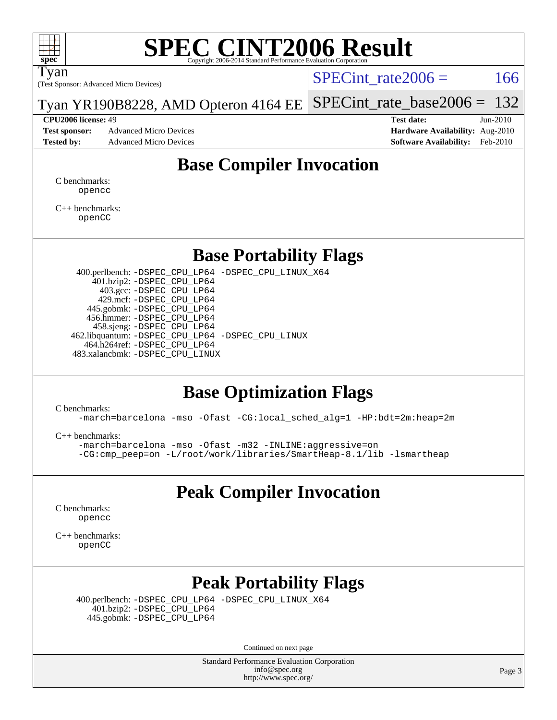

# **[SPEC CINT2006 Result](http://www.spec.org/auto/cpu2006/Docs/result-fields.html#SPECCINT2006Result)**

Tyan

(Test Sponsor: Advanced Micro Devices)

SPECint rate $2006 = 166$ 

Tyan YR190B8228, AMD Opteron 4164 EE [SPECint\\_rate\\_base2006 =](http://www.spec.org/auto/cpu2006/Docs/result-fields.html#SPECintratebase2006) 132

**[Test sponsor:](http://www.spec.org/auto/cpu2006/Docs/result-fields.html#Testsponsor)** Advanced Micro Devices **Advanced Micro Devices [Hardware Availability:](http://www.spec.org/auto/cpu2006/Docs/result-fields.html#HardwareAvailability)** Aug-2010 **[Tested by:](http://www.spec.org/auto/cpu2006/Docs/result-fields.html#Testedby)** Advanced Micro Devices **[Software Availability:](http://www.spec.org/auto/cpu2006/Docs/result-fields.html#SoftwareAvailability)** Feb-2010

**[CPU2006 license:](http://www.spec.org/auto/cpu2006/Docs/result-fields.html#CPU2006license)** 49 **[Test date:](http://www.spec.org/auto/cpu2006/Docs/result-fields.html#Testdate)** Jun-2010

### **[Base Compiler Invocation](http://www.spec.org/auto/cpu2006/Docs/result-fields.html#BaseCompilerInvocation)**

[C benchmarks](http://www.spec.org/auto/cpu2006/Docs/result-fields.html#Cbenchmarks): [opencc](http://www.spec.org/cpu2006/results/res2010q3/cpu2006-20100618-11753.flags.html#user_CCbase_Fopencc)

[C++ benchmarks:](http://www.spec.org/auto/cpu2006/Docs/result-fields.html#CXXbenchmarks) [openCC](http://www.spec.org/cpu2006/results/res2010q3/cpu2006-20100618-11753.flags.html#user_CXXbase_FopenCC)

#### **[Base Portability Flags](http://www.spec.org/auto/cpu2006/Docs/result-fields.html#BasePortabilityFlags)**

 400.perlbench: [-DSPEC\\_CPU\\_LP64](http://www.spec.org/cpu2006/results/res2010q3/cpu2006-20100618-11753.flags.html#b400.perlbench_basePORTABILITY_DSPEC_CPU_LP64) [-DSPEC\\_CPU\\_LINUX\\_X64](http://www.spec.org/cpu2006/results/res2010q3/cpu2006-20100618-11753.flags.html#b400.perlbench_baseCPORTABILITY_DSPEC_CPU_LINUX_X64) 401.bzip2: [-DSPEC\\_CPU\\_LP64](http://www.spec.org/cpu2006/results/res2010q3/cpu2006-20100618-11753.flags.html#suite_basePORTABILITY401_bzip2_DSPEC_CPU_LP64) 403.gcc: [-DSPEC\\_CPU\\_LP64](http://www.spec.org/cpu2006/results/res2010q3/cpu2006-20100618-11753.flags.html#suite_basePORTABILITY403_gcc_DSPEC_CPU_LP64) 429.mcf: [-DSPEC\\_CPU\\_LP64](http://www.spec.org/cpu2006/results/res2010q3/cpu2006-20100618-11753.flags.html#suite_basePORTABILITY429_mcf_DSPEC_CPU_LP64) 445.gobmk: [-DSPEC\\_CPU\\_LP64](http://www.spec.org/cpu2006/results/res2010q3/cpu2006-20100618-11753.flags.html#suite_basePORTABILITY445_gobmk_DSPEC_CPU_LP64) 456.hmmer: [-DSPEC\\_CPU\\_LP64](http://www.spec.org/cpu2006/results/res2010q3/cpu2006-20100618-11753.flags.html#suite_basePORTABILITY456_hmmer_DSPEC_CPU_LP64) 458.sjeng: [-DSPEC\\_CPU\\_LP64](http://www.spec.org/cpu2006/results/res2010q3/cpu2006-20100618-11753.flags.html#suite_basePORTABILITY458_sjeng_DSPEC_CPU_LP64) 462.libquantum: [-DSPEC\\_CPU\\_LP64](http://www.spec.org/cpu2006/results/res2010q3/cpu2006-20100618-11753.flags.html#suite_basePORTABILITY462_libquantum_DSPEC_CPU_LP64) [-DSPEC\\_CPU\\_LINUX](http://www.spec.org/cpu2006/results/res2010q3/cpu2006-20100618-11753.flags.html#b462.libquantum_baseCPORTABILITY_DSPEC_CPU_LINUX) 464.h264ref: [-DSPEC\\_CPU\\_LP64](http://www.spec.org/cpu2006/results/res2010q3/cpu2006-20100618-11753.flags.html#suite_basePORTABILITY464_h264ref_DSPEC_CPU_LP64) 483.xalancbmk: [-DSPEC\\_CPU\\_LINUX](http://www.spec.org/cpu2006/results/res2010q3/cpu2006-20100618-11753.flags.html#b483.xalancbmk_baseCXXPORTABILITY_DSPEC_CPU_LINUX)

#### **[Base Optimization Flags](http://www.spec.org/auto/cpu2006/Docs/result-fields.html#BaseOptimizationFlags)**

[C benchmarks](http://www.spec.org/auto/cpu2006/Docs/result-fields.html#Cbenchmarks):

[-march=barcelona](http://www.spec.org/cpu2006/results/res2010q3/cpu2006-20100618-11753.flags.html#user_CCbase_F-march_8ea39521cada96f307a04d0b8b9c6ffb) [-mso](http://www.spec.org/cpu2006/results/res2010q3/cpu2006-20100618-11753.flags.html#user_CCbase_F-mso) [-Ofast](http://www.spec.org/cpu2006/results/res2010q3/cpu2006-20100618-11753.flags.html#user_CCbase_F-Ofast) [-CG:local\\_sched\\_alg=1](http://www.spec.org/cpu2006/results/res2010q3/cpu2006-20100618-11753.flags.html#user_CCbase_F-CG:local_sched_alg_2175ca61f1a2717f1ec57b14995b9e7a) [-HP:bdt=2m:heap=2m](http://www.spec.org/cpu2006/results/res2010q3/cpu2006-20100618-11753.flags.html#user_CCbase_F-HUGEPAGE_855e97383b49831f390a2af16fe7202f)

[C++ benchmarks:](http://www.spec.org/auto/cpu2006/Docs/result-fields.html#CXXbenchmarks)

[-march=barcelona](http://www.spec.org/cpu2006/results/res2010q3/cpu2006-20100618-11753.flags.html#user_CXXbase_F-march_8ea39521cada96f307a04d0b8b9c6ffb) [-mso](http://www.spec.org/cpu2006/results/res2010q3/cpu2006-20100618-11753.flags.html#user_CXXbase_F-mso) [-Ofast](http://www.spec.org/cpu2006/results/res2010q3/cpu2006-20100618-11753.flags.html#user_CXXbase_F-Ofast) [-m32](http://www.spec.org/cpu2006/results/res2010q3/cpu2006-20100618-11753.flags.html#user_CXXbase_F-m32) [-INLINE:aggressive=on](http://www.spec.org/cpu2006/results/res2010q3/cpu2006-20100618-11753.flags.html#user_CXXbase_F-INLINE:aggressive_e14807c0a1e56a6a83cb25ab07c7ae8a) [-CG:cmp\\_peep=on](http://www.spec.org/cpu2006/results/res2010q3/cpu2006-20100618-11753.flags.html#user_CXXbase_F-CG:cmp_peep_ab90c979e95bee1f1f617a32622424ed) [-L/root/work/libraries/SmartHeap-8.1/lib -lsmartheap](http://www.spec.org/cpu2006/results/res2010q3/cpu2006-20100618-11753.flags.html#user_CXXbase_F-L_lib_directory_lsmartheap_9ab549d8336b8b0ffe7b94e3ae706265)

## **[Peak Compiler Invocation](http://www.spec.org/auto/cpu2006/Docs/result-fields.html#PeakCompilerInvocation)**

[C benchmarks](http://www.spec.org/auto/cpu2006/Docs/result-fields.html#Cbenchmarks): [opencc](http://www.spec.org/cpu2006/results/res2010q3/cpu2006-20100618-11753.flags.html#user_CCpeak_Fopencc)

[C++ benchmarks:](http://www.spec.org/auto/cpu2006/Docs/result-fields.html#CXXbenchmarks) [openCC](http://www.spec.org/cpu2006/results/res2010q3/cpu2006-20100618-11753.flags.html#user_CXXpeak_FopenCC)

# **[Peak Portability Flags](http://www.spec.org/auto/cpu2006/Docs/result-fields.html#PeakPortabilityFlags)**

 400.perlbench: [-DSPEC\\_CPU\\_LP64](http://www.spec.org/cpu2006/results/res2010q3/cpu2006-20100618-11753.flags.html#b400.perlbench_peakPORTABILITY_DSPEC_CPU_LP64) [-DSPEC\\_CPU\\_LINUX\\_X64](http://www.spec.org/cpu2006/results/res2010q3/cpu2006-20100618-11753.flags.html#b400.perlbench_peakCPORTABILITY_DSPEC_CPU_LINUX_X64) 401.bzip2: [-DSPEC\\_CPU\\_LP64](http://www.spec.org/cpu2006/results/res2010q3/cpu2006-20100618-11753.flags.html#suite_peakPORTABILITY401_bzip2_DSPEC_CPU_LP64) 445.gobmk: [-DSPEC\\_CPU\\_LP64](http://www.spec.org/cpu2006/results/res2010q3/cpu2006-20100618-11753.flags.html#suite_peakPORTABILITY445_gobmk_DSPEC_CPU_LP64)

Continued on next page

Standard Performance Evaluation Corporation [info@spec.org](mailto:info@spec.org) <http://www.spec.org/>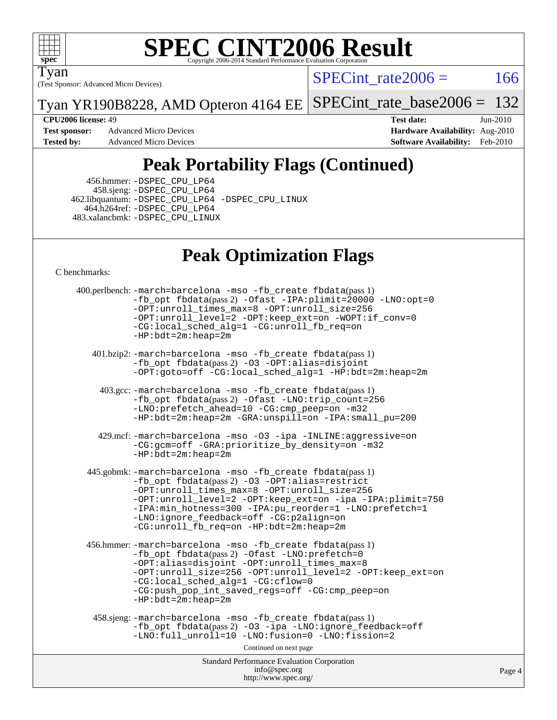

# **[SPEC CINT2006 Result](http://www.spec.org/auto/cpu2006/Docs/result-fields.html#SPECCINT2006Result)**

Tyan

(Test Sponsor: Advanced Micro Devices)

 $SPECTnt_rate2006 = 166$ 

Tyan YR190B8228, AMD Opteron 4164 EE [SPECint\\_rate\\_base2006 =](http://www.spec.org/auto/cpu2006/Docs/result-fields.html#SPECintratebase2006)  $132$ 

**[Test sponsor:](http://www.spec.org/auto/cpu2006/Docs/result-fields.html#Testsponsor)** Advanced Micro Devices **Advanced Micro Devices [Hardware Availability:](http://www.spec.org/auto/cpu2006/Docs/result-fields.html#HardwareAvailability)** Aug-2010 **[Tested by:](http://www.spec.org/auto/cpu2006/Docs/result-fields.html#Testedby)** Advanced Micro Devices **[Software Availability:](http://www.spec.org/auto/cpu2006/Docs/result-fields.html#SoftwareAvailability)** Feb-2010

**[CPU2006 license:](http://www.spec.org/auto/cpu2006/Docs/result-fields.html#CPU2006license)** 49 **[Test date:](http://www.spec.org/auto/cpu2006/Docs/result-fields.html#Testdate)** Jun-2010

# **[Peak Portability Flags \(Continued\)](http://www.spec.org/auto/cpu2006/Docs/result-fields.html#PeakPortabilityFlags)**

 456.hmmer: [-DSPEC\\_CPU\\_LP64](http://www.spec.org/cpu2006/results/res2010q3/cpu2006-20100618-11753.flags.html#suite_peakPORTABILITY456_hmmer_DSPEC_CPU_LP64) 458.sjeng: [-DSPEC\\_CPU\\_LP64](http://www.spec.org/cpu2006/results/res2010q3/cpu2006-20100618-11753.flags.html#suite_peakPORTABILITY458_sjeng_DSPEC_CPU_LP64) 462.libquantum: [-DSPEC\\_CPU\\_LP64](http://www.spec.org/cpu2006/results/res2010q3/cpu2006-20100618-11753.flags.html#suite_peakPORTABILITY462_libquantum_DSPEC_CPU_LP64) [-DSPEC\\_CPU\\_LINUX](http://www.spec.org/cpu2006/results/res2010q3/cpu2006-20100618-11753.flags.html#b462.libquantum_peakCPORTABILITY_DSPEC_CPU_LINUX) 464.h264ref: [-DSPEC\\_CPU\\_LP64](http://www.spec.org/cpu2006/results/res2010q3/cpu2006-20100618-11753.flags.html#suite_peakPORTABILITY464_h264ref_DSPEC_CPU_LP64) 483.xalancbmk: [-DSPEC\\_CPU\\_LINUX](http://www.spec.org/cpu2006/results/res2010q3/cpu2006-20100618-11753.flags.html#b483.xalancbmk_peakCXXPORTABILITY_DSPEC_CPU_LINUX)

## **[Peak Optimization Flags](http://www.spec.org/auto/cpu2006/Docs/result-fields.html#PeakOptimizationFlags)**

[C benchmarks](http://www.spec.org/auto/cpu2006/Docs/result-fields.html#Cbenchmarks):

Standard Performance Evaluation Corporation [info@spec.org](mailto:info@spec.org) <http://www.spec.org/> Page 4 400.perlbench: [-march=barcelona](http://www.spec.org/cpu2006/results/res2010q3/cpu2006-20100618-11753.flags.html#user_peakCCLD400_perlbench_F-march_8ea39521cada96f307a04d0b8b9c6ffb) [-mso](http://www.spec.org/cpu2006/results/res2010q3/cpu2006-20100618-11753.flags.html#user_peakCCLD400_perlbench_F-mso) [-fb\\_create fbdata](http://www.spec.org/cpu2006/results/res2010q3/cpu2006-20100618-11753.flags.html#user_peakPASS1_CFLAGSPASS1_LDFLAGS400_perlbench_F-fb_create_filename)(pass 1) [-fb\\_opt fbdata](http://www.spec.org/cpu2006/results/res2010q3/cpu2006-20100618-11753.flags.html#user_peakPASS2_CFLAGSPASS2_LDFLAGS400_perlbench_F-fb_opt_filename)(pass 2) [-Ofast](http://www.spec.org/cpu2006/results/res2010q3/cpu2006-20100618-11753.flags.html#user_peakCOPTIMIZE400_perlbench_F-Ofast) [-IPA:plimit=20000](http://www.spec.org/cpu2006/results/res2010q3/cpu2006-20100618-11753.flags.html#user_peakCOPTIMIZE400_perlbench_F-IPA:plimit_89e6fd9421ace0d5dab294a0a1b8be33) [-LNO:opt=0](http://www.spec.org/cpu2006/results/res2010q3/cpu2006-20100618-11753.flags.html#user_peakCOPTIMIZE400_perlbench_F-LNO:opt_b91e8b13d06f45039299c6496cc69a5f) [-OPT:unroll\\_times\\_max=8](http://www.spec.org/cpu2006/results/res2010q3/cpu2006-20100618-11753.flags.html#user_peakCOPTIMIZE400_perlbench_F-OPT:unroll_times_max_1ad8852298ca2c36a68b2d007aae0e22) [-OPT:unroll\\_size=256](http://www.spec.org/cpu2006/results/res2010q3/cpu2006-20100618-11753.flags.html#user_peakCOPTIMIZE400_perlbench_F-OPT:unroll_size_dfa492f42f50f580c3837c8b22d14f27) [-OPT:unroll\\_level=2](http://www.spec.org/cpu2006/results/res2010q3/cpu2006-20100618-11753.flags.html#user_peakCOPTIMIZE400_perlbench_F-OPT:unroll_level_2cd767e66711a193dd7aad8ffe1e4d20) [-OPT:keep\\_ext=on](http://www.spec.org/cpu2006/results/res2010q3/cpu2006-20100618-11753.flags.html#user_peakCOPTIMIZE400_perlbench_F-OPT:keep_ext_4dbb9969188886aadf10437ce9577910) [-WOPT:if\\_conv=0](http://www.spec.org/cpu2006/results/res2010q3/cpu2006-20100618-11753.flags.html#user_peakCOPTIMIZE400_perlbench_F-WOPT:if_conv_3763321a358ff896b32d6152fd83e145) [-CG:local\\_sched\\_alg=1](http://www.spec.org/cpu2006/results/res2010q3/cpu2006-20100618-11753.flags.html#user_peakCOPTIMIZE400_perlbench_F-CG:local_sched_alg_2175ca61f1a2717f1ec57b14995b9e7a) [-CG:unroll\\_fb\\_req=on](http://www.spec.org/cpu2006/results/res2010q3/cpu2006-20100618-11753.flags.html#user_peakCOPTIMIZE400_perlbench_F-CG:unroll_fb_req_6669f978801820a53c68eded7a4f0485) [-HP:bdt=2m:heap=2m](http://www.spec.org/cpu2006/results/res2010q3/cpu2006-20100618-11753.flags.html#user_peakCOPTIMIZE400_perlbench_F-HUGEPAGE_855e97383b49831f390a2af16fe7202f) 401.bzip2: [-march=barcelona](http://www.spec.org/cpu2006/results/res2010q3/cpu2006-20100618-11753.flags.html#user_peakCCLD401_bzip2_F-march_8ea39521cada96f307a04d0b8b9c6ffb) [-mso](http://www.spec.org/cpu2006/results/res2010q3/cpu2006-20100618-11753.flags.html#user_peakCCLD401_bzip2_F-mso) [-fb\\_create fbdata](http://www.spec.org/cpu2006/results/res2010q3/cpu2006-20100618-11753.flags.html#user_peakPASS1_CFLAGSPASS1_LDFLAGS401_bzip2_F-fb_create_filename)(pass 1) [-fb\\_opt fbdata](http://www.spec.org/cpu2006/results/res2010q3/cpu2006-20100618-11753.flags.html#user_peakPASS2_CFLAGSPASS2_LDFLAGS401_bzip2_F-fb_opt_filename)(pass 2) [-O3](http://www.spec.org/cpu2006/results/res2010q3/cpu2006-20100618-11753.flags.html#user_peakCOPTIMIZE401_bzip2_F-O3) [-OPT:alias=disjoint](http://www.spec.org/cpu2006/results/res2010q3/cpu2006-20100618-11753.flags.html#user_peakCOPTIMIZE401_bzip2_F-OPT:alias_af85d624bc8c113f27b06a81a9df063d) [-OPT:goto=off](http://www.spec.org/cpu2006/results/res2010q3/cpu2006-20100618-11753.flags.html#user_peakCOPTIMIZE401_bzip2_F-OPT:goto_b8760493db7ddb90acc865b6d90bb5de) [-CG:local\\_sched\\_alg=1](http://www.spec.org/cpu2006/results/res2010q3/cpu2006-20100618-11753.flags.html#user_peakCOPTIMIZE401_bzip2_F-CG:local_sched_alg_2175ca61f1a2717f1ec57b14995b9e7a) [-HP:bdt=2m:heap=2m](http://www.spec.org/cpu2006/results/res2010q3/cpu2006-20100618-11753.flags.html#user_peakCOPTIMIZE401_bzip2_F-HUGEPAGE_855e97383b49831f390a2af16fe7202f) 403.gcc: [-march=barcelona](http://www.spec.org/cpu2006/results/res2010q3/cpu2006-20100618-11753.flags.html#user_peakCCLD403_gcc_F-march_8ea39521cada96f307a04d0b8b9c6ffb) [-mso](http://www.spec.org/cpu2006/results/res2010q3/cpu2006-20100618-11753.flags.html#user_peakCCLD403_gcc_F-mso) [-fb\\_create fbdata](http://www.spec.org/cpu2006/results/res2010q3/cpu2006-20100618-11753.flags.html#user_peakPASS1_CFLAGSPASS1_LDFLAGS403_gcc_F-fb_create_filename)(pass 1) [-fb\\_opt fbdata](http://www.spec.org/cpu2006/results/res2010q3/cpu2006-20100618-11753.flags.html#user_peakPASS2_CFLAGSPASS2_LDFLAGS403_gcc_F-fb_opt_filename)(pass 2) [-Ofast](http://www.spec.org/cpu2006/results/res2010q3/cpu2006-20100618-11753.flags.html#user_peakCOPTIMIZE403_gcc_F-Ofast) [-LNO:trip\\_count=256](http://www.spec.org/cpu2006/results/res2010q3/cpu2006-20100618-11753.flags.html#user_peakCOPTIMIZE403_gcc_F-LNO:trip_count_fda57506a3ecf9651535a9a8fb03b434) [-LNO:prefetch\\_ahead=10](http://www.spec.org/cpu2006/results/res2010q3/cpu2006-20100618-11753.flags.html#user_peakCOPTIMIZE403_gcc_F-LNO:prefetch_ahead_dd92ad2fa0fda9c22e1b1c18e5a8e304) [-CG:cmp\\_peep=on](http://www.spec.org/cpu2006/results/res2010q3/cpu2006-20100618-11753.flags.html#user_peakCOPTIMIZE403_gcc_F-CG:cmp_peep_ab90c979e95bee1f1f617a32622424ed) [-m32](http://www.spec.org/cpu2006/results/res2010q3/cpu2006-20100618-11753.flags.html#user_peakCOPTIMIZE403_gcc_F-m32) [-HP:bdt=2m:heap=2m](http://www.spec.org/cpu2006/results/res2010q3/cpu2006-20100618-11753.flags.html#user_peakCOPTIMIZE403_gcc_F-HUGEPAGE_855e97383b49831f390a2af16fe7202f) [-GRA:unspill=on](http://www.spec.org/cpu2006/results/res2010q3/cpu2006-20100618-11753.flags.html#user_peakCOPTIMIZE403_gcc_F-GRA:unspill_1a6c98043856890311246be72b057593) [-IPA:small\\_pu=200](http://www.spec.org/cpu2006/results/res2010q3/cpu2006-20100618-11753.flags.html#user_peakCOPTIMIZE403_gcc_F-IPA:small_pu_9e003d10925fc6bd9336e5337d9e3a22) 429.mcf: [-march=barcelona](http://www.spec.org/cpu2006/results/res2010q3/cpu2006-20100618-11753.flags.html#user_peakCCLD429_mcf_F-march_8ea39521cada96f307a04d0b8b9c6ffb) [-mso](http://www.spec.org/cpu2006/results/res2010q3/cpu2006-20100618-11753.flags.html#user_peakCCLD429_mcf_F-mso) [-O3](http://www.spec.org/cpu2006/results/res2010q3/cpu2006-20100618-11753.flags.html#user_peakCOPTIMIZE429_mcf_F-O3) [-ipa](http://www.spec.org/cpu2006/results/res2010q3/cpu2006-20100618-11753.flags.html#user_peakCOPTIMIZE429_mcf_F-ipa) [-INLINE:aggressive=on](http://www.spec.org/cpu2006/results/res2010q3/cpu2006-20100618-11753.flags.html#user_peakCOPTIMIZE429_mcf_F-INLINE:aggressive_e14807c0a1e56a6a83cb25ab07c7ae8a) [-CG:gcm=off](http://www.spec.org/cpu2006/results/res2010q3/cpu2006-20100618-11753.flags.html#user_peakCOPTIMIZE429_mcf_F-CG:gcm_3afc0477d086a9a9afc1ccea25488f06) [-GRA:prioritize\\_by\\_density=on](http://www.spec.org/cpu2006/results/res2010q3/cpu2006-20100618-11753.flags.html#user_peakCOPTIMIZE429_mcf_F-GRA:prioritize_by_density_342c4fb73fe18829f920373223f095a5) [-m32](http://www.spec.org/cpu2006/results/res2010q3/cpu2006-20100618-11753.flags.html#user_peakCOPTIMIZE429_mcf_F-m32)  $-HP:\overline{bdt}=2m:heap=2m$  445.gobmk: [-march=barcelona](http://www.spec.org/cpu2006/results/res2010q3/cpu2006-20100618-11753.flags.html#user_peakCCLD445_gobmk_F-march_8ea39521cada96f307a04d0b8b9c6ffb) [-mso](http://www.spec.org/cpu2006/results/res2010q3/cpu2006-20100618-11753.flags.html#user_peakCCLD445_gobmk_F-mso) [-fb\\_create fbdata](http://www.spec.org/cpu2006/results/res2010q3/cpu2006-20100618-11753.flags.html#user_peakPASS1_CFLAGSPASS1_LDFLAGS445_gobmk_F-fb_create_filename)(pass 1) [-fb\\_opt fbdata](http://www.spec.org/cpu2006/results/res2010q3/cpu2006-20100618-11753.flags.html#user_peakPASS2_CFLAGSPASS2_LDFLAGS445_gobmk_F-fb_opt_filename)(pass 2) [-O3](http://www.spec.org/cpu2006/results/res2010q3/cpu2006-20100618-11753.flags.html#user_peakCOPTIMIZE445_gobmk_F-O3) [-OPT:alias=restrict](http://www.spec.org/cpu2006/results/res2010q3/cpu2006-20100618-11753.flags.html#user_peakCOPTIMIZE445_gobmk_F-OPT:alias_f74f95116c143118d3b7a69b27e837c8) [-OPT:unroll\\_times\\_max=8](http://www.spec.org/cpu2006/results/res2010q3/cpu2006-20100618-11753.flags.html#user_peakCOPTIMIZE445_gobmk_F-OPT:unroll_times_max_1ad8852298ca2c36a68b2d007aae0e22) [-OPT:unroll\\_size=256](http://www.spec.org/cpu2006/results/res2010q3/cpu2006-20100618-11753.flags.html#user_peakCOPTIMIZE445_gobmk_F-OPT:unroll_size_dfa492f42f50f580c3837c8b22d14f27) [-OPT:unroll\\_level=2](http://www.spec.org/cpu2006/results/res2010q3/cpu2006-20100618-11753.flags.html#user_peakCOPTIMIZE445_gobmk_F-OPT:unroll_level_2cd767e66711a193dd7aad8ffe1e4d20) [-OPT:keep\\_ext=on](http://www.spec.org/cpu2006/results/res2010q3/cpu2006-20100618-11753.flags.html#user_peakCOPTIMIZE445_gobmk_F-OPT:keep_ext_4dbb9969188886aadf10437ce9577910) [-ipa](http://www.spec.org/cpu2006/results/res2010q3/cpu2006-20100618-11753.flags.html#user_peakCOPTIMIZE445_gobmk_F-ipa) [-IPA:plimit=750](http://www.spec.org/cpu2006/results/res2010q3/cpu2006-20100618-11753.flags.html#user_peakCOPTIMIZE445_gobmk_F-IPA:plimit_d12b7edf4800746ab824f3a01a8ce117) [-IPA:min\\_hotness=300](http://www.spec.org/cpu2006/results/res2010q3/cpu2006-20100618-11753.flags.html#user_peakCOPTIMIZE445_gobmk_F-IPA:min_hotness_a22c9a7839d9fc5b8df1b53fa3adec91) [-IPA:pu\\_reorder=1](http://www.spec.org/cpu2006/results/res2010q3/cpu2006-20100618-11753.flags.html#user_peakCOPTIMIZE445_gobmk_F-IPA:pu_reorder_05e26b42f44c94362cdc386b470e6fd6) [-LNO:prefetch=1](http://www.spec.org/cpu2006/results/res2010q3/cpu2006-20100618-11753.flags.html#user_peakCOPTIMIZE445_gobmk_F-LNO:prefetch_0e04e5068d643a77d1eab8e86f5e8697) [-LNO:ignore\\_feedback=off](http://www.spec.org/cpu2006/results/res2010q3/cpu2006-20100618-11753.flags.html#user_peakCOPTIMIZE445_gobmk_F-LNO:ignore_feedback_1d6d06f39185b277a955c10dfd0a9a73) [-CG:p2align=on](http://www.spec.org/cpu2006/results/res2010q3/cpu2006-20100618-11753.flags.html#user_peakCOPTIMIZE445_gobmk_F-CG:p2align_eb931ffc34bd15f54521908a4451bda2) [-CG:unroll\\_fb\\_req=on](http://www.spec.org/cpu2006/results/res2010q3/cpu2006-20100618-11753.flags.html#user_peakCOPTIMIZE445_gobmk_F-CG:unroll_fb_req_6669f978801820a53c68eded7a4f0485) [-HP:bdt=2m:heap=2m](http://www.spec.org/cpu2006/results/res2010q3/cpu2006-20100618-11753.flags.html#user_peakCOPTIMIZE445_gobmk_F-HUGEPAGE_855e97383b49831f390a2af16fe7202f) 456.hmmer: [-march=barcelona](http://www.spec.org/cpu2006/results/res2010q3/cpu2006-20100618-11753.flags.html#user_peakCCLD456_hmmer_F-march_8ea39521cada96f307a04d0b8b9c6ffb) [-mso](http://www.spec.org/cpu2006/results/res2010q3/cpu2006-20100618-11753.flags.html#user_peakCCLD456_hmmer_F-mso) [-fb\\_create fbdata](http://www.spec.org/cpu2006/results/res2010q3/cpu2006-20100618-11753.flags.html#user_peakPASS1_CFLAGSPASS1_LDFLAGS456_hmmer_F-fb_create_filename)(pass 1) [-fb\\_opt fbdata](http://www.spec.org/cpu2006/results/res2010q3/cpu2006-20100618-11753.flags.html#user_peakPASS2_CFLAGSPASS2_LDFLAGS456_hmmer_F-fb_opt_filename)(pass 2) [-Ofast](http://www.spec.org/cpu2006/results/res2010q3/cpu2006-20100618-11753.flags.html#user_peakCOPTIMIZE456_hmmer_F-Ofast) [-LNO:prefetch=0](http://www.spec.org/cpu2006/results/res2010q3/cpu2006-20100618-11753.flags.html#user_peakCOPTIMIZE456_hmmer_F-LNO:prefetch_697fbd9f9feab3edac5397fc7beec995) [-OPT:alias=disjoint](http://www.spec.org/cpu2006/results/res2010q3/cpu2006-20100618-11753.flags.html#user_peakCOPTIMIZE456_hmmer_F-OPT:alias_af85d624bc8c113f27b06a81a9df063d) [-OPT:unroll\\_times\\_max=8](http://www.spec.org/cpu2006/results/res2010q3/cpu2006-20100618-11753.flags.html#user_peakCOPTIMIZE456_hmmer_F-OPT:unroll_times_max_1ad8852298ca2c36a68b2d007aae0e22) [-OPT:unroll\\_size=256](http://www.spec.org/cpu2006/results/res2010q3/cpu2006-20100618-11753.flags.html#user_peakCOPTIMIZE456_hmmer_F-OPT:unroll_size_dfa492f42f50f580c3837c8b22d14f27) [-OPT:unroll\\_level=2](http://www.spec.org/cpu2006/results/res2010q3/cpu2006-20100618-11753.flags.html#user_peakCOPTIMIZE456_hmmer_F-OPT:unroll_level_2cd767e66711a193dd7aad8ffe1e4d20) [-OPT:keep\\_ext=on](http://www.spec.org/cpu2006/results/res2010q3/cpu2006-20100618-11753.flags.html#user_peakCOPTIMIZE456_hmmer_F-OPT:keep_ext_4dbb9969188886aadf10437ce9577910) [-CG:local\\_sched\\_alg=1](http://www.spec.org/cpu2006/results/res2010q3/cpu2006-20100618-11753.flags.html#user_peakCOPTIMIZE456_hmmer_F-CG:local_sched_alg_2175ca61f1a2717f1ec57b14995b9e7a) [-CG:cflow=0](http://www.spec.org/cpu2006/results/res2010q3/cpu2006-20100618-11753.flags.html#user_peakCOPTIMIZE456_hmmer_F-CG:cflow_75ba632a6a95410c488fc5f313a16b42) [-CG:push\\_pop\\_int\\_saved\\_regs=off](http://www.spec.org/cpu2006/results/res2010q3/cpu2006-20100618-11753.flags.html#user_peakCOPTIMIZE456_hmmer_F-CG:push_pop_int_saved_regs_ae095e4f8df972ca26c2c920052f27bf) [-CG:cmp\\_peep=on](http://www.spec.org/cpu2006/results/res2010q3/cpu2006-20100618-11753.flags.html#user_peakCOPTIMIZE456_hmmer_F-CG:cmp_peep_ab90c979e95bee1f1f617a32622424ed) [-HP:bdt=2m:heap=2m](http://www.spec.org/cpu2006/results/res2010q3/cpu2006-20100618-11753.flags.html#user_peakCOPTIMIZE456_hmmer_F-HUGEPAGE_855e97383b49831f390a2af16fe7202f) 458.sjeng: [-march=barcelona](http://www.spec.org/cpu2006/results/res2010q3/cpu2006-20100618-11753.flags.html#user_peakCCLD458_sjeng_F-march_8ea39521cada96f307a04d0b8b9c6ffb) [-mso](http://www.spec.org/cpu2006/results/res2010q3/cpu2006-20100618-11753.flags.html#user_peakCCLD458_sjeng_F-mso) [-fb\\_create fbdata](http://www.spec.org/cpu2006/results/res2010q3/cpu2006-20100618-11753.flags.html#user_peakPASS1_CFLAGSPASS1_LDFLAGS458_sjeng_F-fb_create_filename)(pass 1) [-fb\\_opt fbdata](http://www.spec.org/cpu2006/results/res2010q3/cpu2006-20100618-11753.flags.html#user_peakPASS2_CFLAGSPASS2_LDFLAGS458_sjeng_F-fb_opt_filename)(pass 2) [-O3](http://www.spec.org/cpu2006/results/res2010q3/cpu2006-20100618-11753.flags.html#user_peakCOPTIMIZE458_sjeng_F-O3) [-ipa](http://www.spec.org/cpu2006/results/res2010q3/cpu2006-20100618-11753.flags.html#user_peakCOPTIMIZE458_sjeng_F-ipa) [-LNO:ignore\\_feedback=off](http://www.spec.org/cpu2006/results/res2010q3/cpu2006-20100618-11753.flags.html#user_peakCOPTIMIZE458_sjeng_F-LNO:ignore_feedback_1d6d06f39185b277a955c10dfd0a9a73) -LNO:full unroll=10 [-LNO:fusion=0](http://www.spec.org/cpu2006/results/res2010q3/cpu2006-20100618-11753.flags.html#user_peakCOPTIMIZE458_sjeng_F-LNO:fusion_780806b4edf541d16351f44d74cd5b96) [-LNO:fission=2](http://www.spec.org/cpu2006/results/res2010q3/cpu2006-20100618-11753.flags.html#user_peakCOPTIMIZE458_sjeng_F-LNO:fission_5cab2649267e6bc8b61d14b4fdbc5ab6) Continued on next page